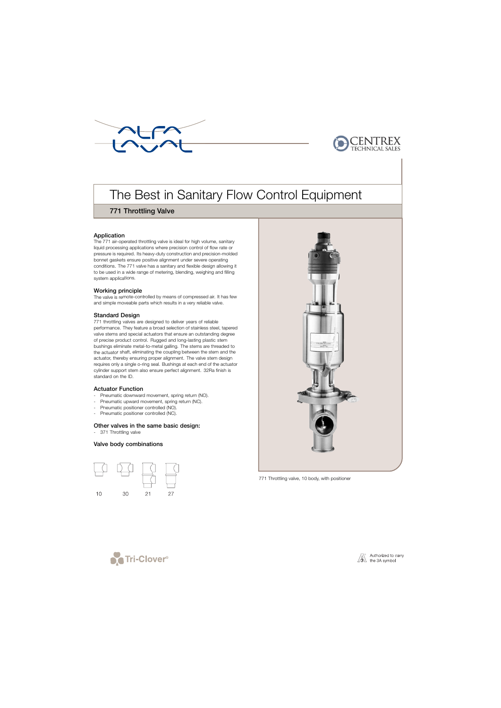



# The Best in Sanitary Flow Control Equipment

## 771 Throttling Valve

## Application

The 771 air-operated throttling valve is ideal for high volume, sanitary liquid processing applications where precision control of flow rate or pressure is required. Its heavy-duty construction and precision-molded bonnet gaskets ensure positive alignment under severe operating conditions. The 771 valve has a sanitary and flexible design allowing it to be used in a wide range of metering, blending, weighing and filling system applications.

## Working principle

The valve is remote-controlled by means of compressed air. It has few and simple moveable parts which results in a very reliable valve.

## Standard Design

771 throttling valves are designed to deliver years of reliable performance. They feature a broad selection of stainless steel, tapered valve stems and special actuators that ensure an outstanding degree of precise product control. Rugged and long-lasting plastic stem bushings eliminate metal-to-metal galling. The stems are threaded to the actuator shaft, eliminating the coupling between the stem and the actuator, thereby ensuring proper alignment. The valve stem design requires only a single o-ring seal. Bushings at each end of the actuator cylinder support stem also ensure perfect alignment. 32Ra finish is standard on the ID.

## Actuator Function

- Pneumatic downward movement, spring return (NO).
- Pneumatic upward movement, spring return (NC).
- Pneumatic positioner controlled (NO).
- Pneumatic positioner controlled (NC).

## Other valves in the same basic design:

- 371 Throttling valve

## Valve body combinations





771 Throttling valve, 10 body, with positioner



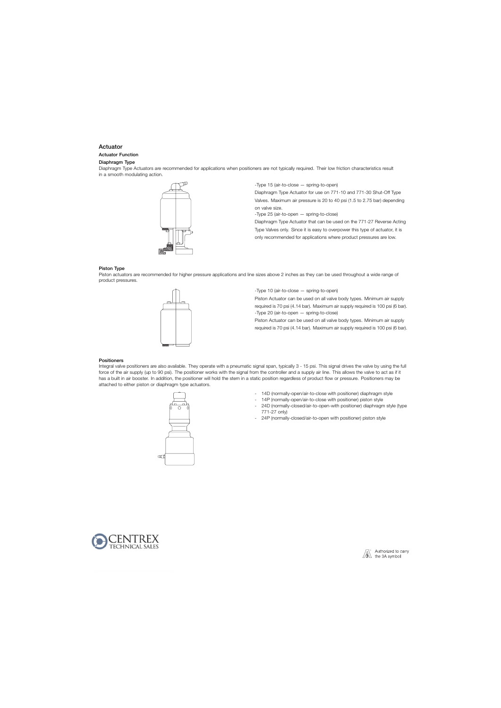## Actuator

#### Actuator Function

#### Diaphragm Type

Diaphragm Type Actuators are recommended for applications when positioners are not typically required. Their low friction characteristics result in a smooth modulating action.



-Type 15 (air-to-close — spring-to-open)

Diaphragm Type Actuator for use on 771-10 and 771-30 Shut-Off Type Valves. Maximum air pressure is 20 to 40 psi (1.5 to 2.75 bar) depending on valve size.

-Type 25 (air-to-open — spring-to-close)

Diaphragm Type Actuator that can be used on the 771-27 Reverse Acting Type Valves only. Since it is easy to overpower this type of actuator, it is only recommended for applications where product pressures are low.

#### Piston Type

Piston actuators are recommended for higher pressure applications and line sizes above 2 inches as they can be used throughout a wide range of product pressures.



-Type 10 (air-to-close — spring-to-open)

Piston Actuator can be used on all valve body types. Minimum air supply required is 70 psi (4.14 bar). Maximum air supply required is 100 psi (6 bar). -Type 20 (air-to-open — spring-to-close)

Piston Actuator can be used on all valve body types. Minimum air supply required is 70 psi (4.14 bar). Maximum air supply required is 100 psi (6 bar).

#### Positioners

Integral valve positioners are also available. They operate with a pneumatic signal span, typically 3 - 15 psi. This signal drives the valve by using the full force of the air supply (up to 90 psi). The positioner works with the signal from the controller and a supply air line. This allows the valve to act as if it has a built in air booster. In addition, the positioner will hold the stem in a static position regardless of product flow or pressure. Positioners may be attached to either piston or diaphragm type actuators.



- 14D (normally-open/air-to-close with positioner) diaphragm style
- 14P (normally-open/air-to-close with positioner) piston style
- 24D (normally-closed/air-to-open-with positioner) diaphragm style (type 771-27 only)
- 24P (normally-closed/air-to-open with positioner) piston style



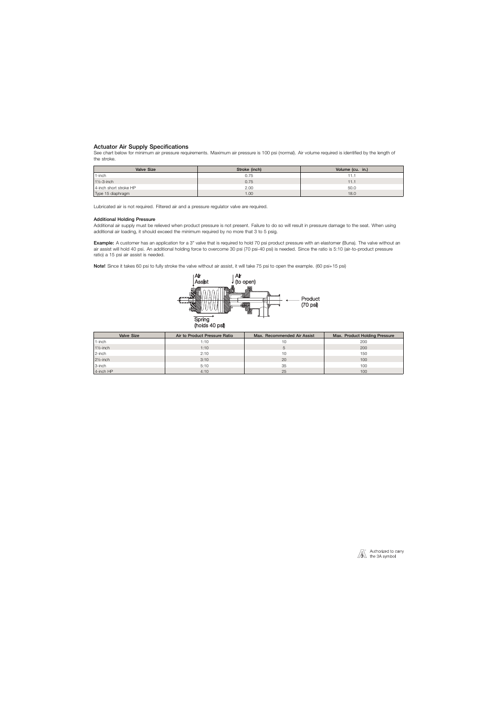## Actuator Air Supply Specifications

See chart below for minimum air pressure requirements. Maximum air pressure is 100 psi (normal). Air volume required is identified by the length of the stroke.

| <b>Valve Size</b>      | Stroke (inch) | Volume (cu. in.) |
|------------------------|---------------|------------------|
| 1-inch                 | 0.75          | ٠1.              |
| $1\frac{1}{2}$ -3-inch | 0.75          | 11.1             |
| 4-inch short stroke HP | 2.00          | 50.0             |
| Type 15 diaphragm      | 1.00          | 18.0             |

Lubricated air is not required. Filtered air and a pressure regulator valve are required.

#### Additional Holding Pressure

Additional air supply must be relieved when product pressure is not present. Failure to do so will result in pressure damage to the seat. When using additional air loading, it should exceed the minimum required by no more that 3 to 5 psig.

Example: A customer has an application for a 3" valve that is required to hold 70 psi product pressure with an elastomer (Buna). The valve without an air assist will hold 40 psi. An additional holding force to overcome 30 psi (70 psi-40 psi) is needed. Since the ratio is 5:10 (air-to-product pressure ratio) a 15 psi air assist is needed.

Note! Since it takes 60 psi to fully stroke the valve without air assist, it will take 75 psi to open the example. (60 psi+15 psi)



| <b>Valve Size</b>    | Air to Product Pressure Ratio | Max. Recommended Air Assist | Max. Product Holding Pressure |
|----------------------|-------------------------------|-----------------------------|-------------------------------|
| 1-inch               | 1:10                          |                             | 200                           |
| $1\frac{1}{2}$ -inch | 1:10                          |                             | 200                           |
| 2-inch               | 2:10                          | 10                          | 150                           |
| $2\frac{1}{2}$ -inch | 3:10                          | 20                          | 100                           |
| 3-inch               | 5:10                          | 35                          | 100                           |
| 4-inch HP            | 4:10                          | 25                          | 100                           |

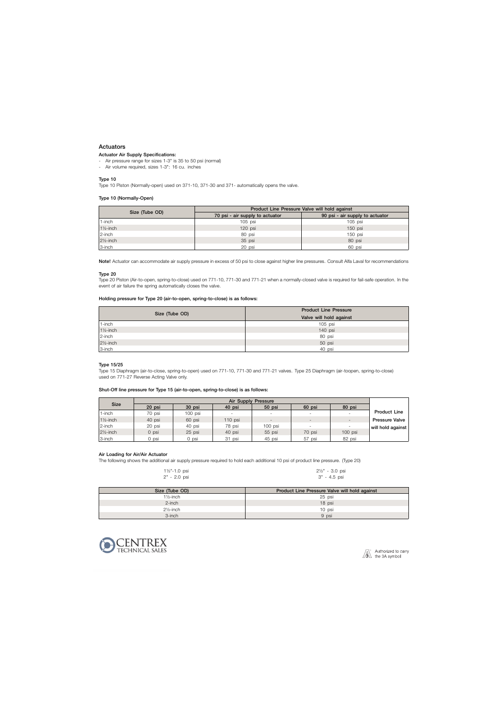## Actuators

#### Actuator Air Supply Specifications:

- Air pressure range for sizes 1-3" is 35 to 50 psi (normal)
- Air volume required, sizes 1-3": 16 cu. inches

#### Type 10

Type 10 Piston (Normally-open) used on 371-10, 371-30 and 371- automatically opens the valve.

#### Type 10 (Normally-Open)

|                      | Product Line Pressure Valve will hold against |                                 |  |  |  |  |  |
|----------------------|-----------------------------------------------|---------------------------------|--|--|--|--|--|
| Size (Tube OD)       | 70 psi - air supply to actuator               | 90 psi - air supply to actuator |  |  |  |  |  |
| 1-inch               | $105$ psi                                     | $105$ psi                       |  |  |  |  |  |
| $1\frac{1}{2}$ -inch | $120$ psi                                     | $150$ psi                       |  |  |  |  |  |
| 2-inch               | 80 psi                                        | 150 psi                         |  |  |  |  |  |
| $2\frac{1}{2}$ -inch | 35 psi                                        | 80 psi                          |  |  |  |  |  |
| 3-inch               | 20 psi                                        | 60 psi                          |  |  |  |  |  |

Note! Actuator can accommodate air supply pressure in excess of 50 psi to close against higher line pressures. Consult Alfa Laval for recommendations

#### Type 20

Type 20 Piston (Air-to-open, spring-to-close) used on 771-10, 771-30 and 771-21 when a normally-closed valve is required for fail-safe operation. In the event of air failure the spring automatically closes the valve.

#### Holding pressure for Type 20 (air-to-open, spring-to-close) is as follows:

|                      | <b>Product Line Pressure</b> |
|----------------------|------------------------------|
| Size (Tube OD)       | Valve will hold against      |
| 1-inch               | $105$ psi                    |
| $1\frac{1}{2}$ -inch | 140 psi                      |
| 2-inch               | 80 psi                       |
| $2\frac{1}{2}$ -inch | 50 psi                       |
| 3-inch               | 40 psi                       |

#### Type 15/25

Type 15 Diaphragm (air-to-close, spring-to-open) used on 771-10, 771-30 and 771-21 valves. Type 25 Diaphragm (air-toopen, spring-to-close) used on 771-27 Reverse Acting Valve only.

#### Shut-Off line pressure for Type 15 (air-to-open, spring-to-close) is as follows:

|                      | <b>Air Supply Pressure</b> |           |                          |                          |                          |                          |                       |  |  |  |
|----------------------|----------------------------|-----------|--------------------------|--------------------------|--------------------------|--------------------------|-----------------------|--|--|--|
| <b>Size</b>          | 20 psi                     | 30 psi    | 40 psi                   | 50 psi                   | 60 psi                   | 80 psi                   |                       |  |  |  |
| 1-inch               | 70 psi                     | $100$ psi | $\overline{\phantom{a}}$ | $\overline{\phantom{a}}$ | $\overline{\phantom{a}}$ | $\overline{\phantom{a}}$ | <b>Product Line</b>   |  |  |  |
| $1\frac{1}{2}$ -inch | 40 psi                     | 60 psi    | $110$ psi                | $\overline{\phantom{0}}$ | $\overline{\phantom{a}}$ | $\overline{\phantom{a}}$ | <b>Pressure Valve</b> |  |  |  |
| 2-inch               | 20 psi                     | 40 psi    | 78 psi                   | 100 psi                  |                          | $\overline{\phantom{a}}$ | will hold against     |  |  |  |
| $2\frac{1}{2}$ -inch | 0 psi                      | 25 psi    | 40 psi                   | 55 psi                   | 70 psi                   | $100$ psi                |                       |  |  |  |
| 3-inch               | ) psi                      | 0 psi     | 31 psi                   | 45 psi                   | 57 psi                   | 82 psi                   |                       |  |  |  |

#### Air Loading for Air/Air Actuator

The following shows the additional air supply pressure required to hold each additional 10 psi of product line pressure. (Type 20)

| $1\frac{1}{2}$ "-1.0 psi | $2\frac{1}{2}$ " - 3.0 psi |
|--------------------------|----------------------------|
| 2" - 2.0 psi             | 3" - 4.5 psi               |

| Size (Tube OD)       | Product Line Pressure Valve will hold against |
|----------------------|-----------------------------------------------|
| $1\frac{1}{2}$ -inch | 25 psi                                        |
| $2$ -inch            | 18 psi                                        |
| $2\frac{1}{2}$ -inch | 10 psi                                        |
| 3-inch               | 9 psi                                         |



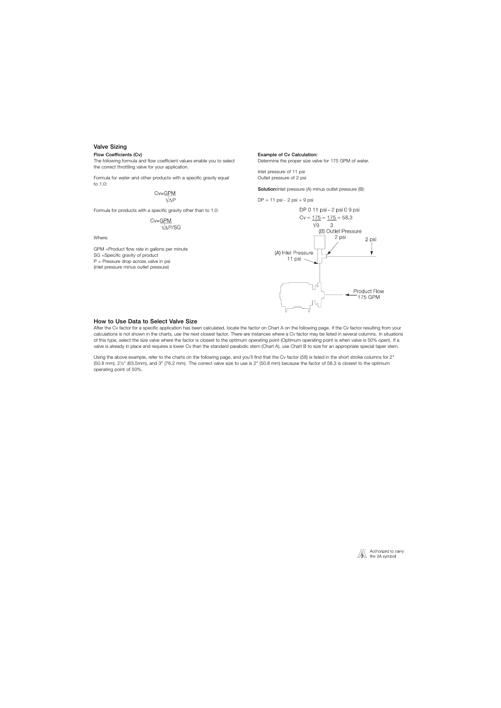## Valve Sizing

#### Flow Coefficients (Cv)

The following formula and flow coefficient values enable you to select the correct throttling valve for your application.

Formula for water and other products with a specific gravity equal to 1.0:

$$
\text{Cv}=\underbrace{\text{GPM}}_{\text{VAP}}
$$

Formula for products with a specific gravity other than to 1.0:

$$
\text{CV}=\underbrace{\text{GPM}}_{\text{VAP/SG}}
$$

Where:

GPM =Product flow rate in gallons per minute SG =Specific gravity of product P = Pressure drop across valve in psi (inlet pressure minus outlet pressure)

#### Example of Cv Calculation:

Determine the proper size valve for 175 GPM of water.

Inlet pressure of 11 psi Outlet pressure of 2 psi

Solution: Inlet pressure (A) minus outlet pressure (B):

 $DP = 11$  psi - 2 psi = 9 psi



#### How to Use Data to Select Valve Size

After the Cv factor for a specific application has been calculated, locate the factor on Chart A on the following page. If the Cv factor resulting from your calculations is not shown in the charts, use the next closest factor. There are instances where a Cv factor may be listed in several columns. In situations of this type, select the size valve where the factor is closest to the optimum operating point (Optimum operating point is when valve is 50% open). If a valve is already in place and requires a lower Cv than the standard parabolic stem (Chart A), use Chart B to size for an appropriate special taper stem.

Using the above example, refer to the charts on the following page, and you'll find that the Cv factor (58) is listed in the short stroke columns for 2" (50.8 mm), 2½" (63.5mm), and 3" (76.2 mm). The correct valve size to use is 2" (50.8 mm) because the factor of 58.3 is closest to the optimum operating point of 50%.

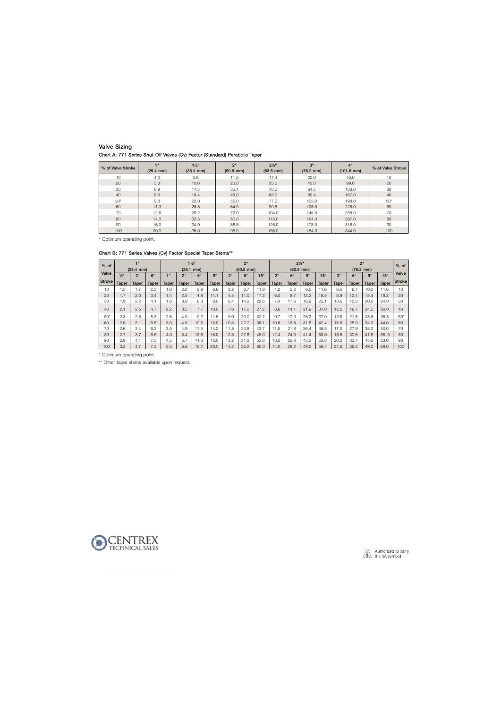## Valve Sizing Chart A: 771 Series Shut-Off Valves (Cv) Factor (Standard) Parabolic Taper

| % of Valve Stroke | 48<br>$(25.4 \, \text{mm})$ | $1\frac{1}{2}$<br>$(38.1 \, \text{mm})$ | 2"<br>$(50.8$ mm) | $2\frac{1}{2}$ "<br>$(63.5 \, \text{mm})$ | 3"<br>$(76.2 \, \text{mm})$ | 4"<br>$(101.6 \text{ mm})$ | % of Valve Stroke |
|-------------------|-----------------------------|-----------------------------------------|-------------------|-------------------------------------------|-----------------------------|----------------------------|-------------------|
| 10                | 4.0                         | 5.6                                     | 11.5              | 17.4                                      | 22.0                        | 45.0                       | 10                |
| 20                | 5.3                         | 10.0                                    | 26.0              | 33.0                                      | 43.0                        | 99.0                       | 20                |
| 30                | 6.9                         | 14.3                                    | 36.4              | 48.0                                      | 64.5                        | 138.0                      | 30                |
| 40                | 8.3                         | 18.4                                    | 46.0              | 63.0                                      | 85.4                        | 167.0                      | 40                |
| $50*$             | 9.8                         | 22.0                                    | 55.0              | 77.0                                      | 105.0                       | 198.0                      | $50*$             |
| 60                | 11.3                        | 25.8                                    | 64.0              | 90.5                                      | 125.0                       | 228.0                      | 60                |
| 70                | 12.6                        | 29.2                                    | 72.0              | 104.0                                     | 145.0                       | 258.0                      | 70                |
| 80                | 14.3                        | 32.5                                    | 80.0              | 115.0                                     | 164.0                       | 287.0                      | 80                |
| 90                | 16.0                        | 34.9                                    | 88.5              | 126.0                                     | 178.0                       | 316.0                      | 90                |
| 100               | 20.0                        | 36.0                                    | 96.0              | 136.0                                     | 184.0                       | 344.0                      | 100               |

\* Optimum operating point.

## Chart B: 771 Series Valves (Cv) Factor Special Taper Stems\*\*

| $%$ of        |               | 4H                    |              |                |             | $1\frac{1}{2}$        |              |              | 2 <sup>n</sup> |              |              |           | $2\frac{1}{2}$ " |              |              |              | 3"           |              | $%$ of          |
|---------------|---------------|-----------------------|--------------|----------------|-------------|-----------------------|--------------|--------------|----------------|--------------|--------------|-----------|------------------|--------------|--------------|--------------|--------------|--------------|-----------------|
|               |               | $(25.4 \, \text{mm})$ |              |                |             | $(38.1 \, \text{mm})$ |              |              | $(50.8$ mm)    |              |              |           | $(63.5$ mm)      |              |              |              | $(76.2$ mm)  |              |                 |
| Valve         | $1/2^{\circ}$ | $2^{\circ}$           | $6^\circ$    | $\bullet$      | $2^{\circ}$ | $6^\circ$             | $9^\circ$    | $2^{\circ}$  | $6^{\circ}$    | $15^\circ$   | $2^{\circ}$  | $6^\circ$ | $9^\circ$        | $15^{\circ}$ | $3^\circ$    | $6^\circ$    | $9^\circ$    | $15^\circ$   | Valve           |
| <b>Stroke</b> | Taper         | <b>Taper</b>          | <b>Taper</b> | <b>Taper</b>   | Taper       | <b>Taper</b>          | <b>Taper</b> | <b>Taper</b> | <b>Taper</b>   | <b>Taper</b> | <b>Taper</b> | Taper     | <b>Taper</b>     | <b>Taper</b> | <b>Taper</b> | <b>Taper</b> | <b>Taper</b> | <b>Taper</b> | <b>Stroke</b>   |
| 10            | .5            | $\overline{7}$        | 2.5          | 0.1            | 2.0         | 2.9                   | 6.6          | 3.2          | 6.7            | 1.8          | 4.2          | 5.2       | 6.5              | 11.6         | 6.5          | 6.7          | 10.0         | 11.6         | 10 <sup>1</sup> |
| 20            | 1.7           | 2.0                   | 3.4          | $\overline{4}$ | 2.5         | 4.8                   | 11.1         | 4.5          | 11.0           | 17.2         | 6.0          | 8.7       | 12.2             | 18.5         | 8.9          | 12.4         | 15.4         | 18.2         | 20              |
| 30            | .9            | 2.2                   | 4.1          | 8. ا           | 3.0         | 6.3                   | 8.0          | 6.4          | 14.2           | 22.6         | 7.4          | 11.6      | 16.9             | 25.1         | 10.6         | 15.8         | 20.2         | 24.0         | 30              |
| 40            | 2.1           | 2.5                   | 4.7          | 2.2            | 3.5         | 7.7                   | 10.0         | 7.6          | 17.0           | 27.2         | 8.6          | 14.4      | 21.9             | 31.0         | 12.2         | 18.7         | 24.2         | 30.0         | 40              |
| $50*$         | 2.3           | 2.8                   | 5.3          | 2.6            | 4.0         | 9.2                   | 1.5          | 9.0          | 20.0           | 32.7         | 9.7          | 17.0      | 26.2             | 37.0         | 13.8         | 21.8         | 28.6         | 36.8         | $50*$           |
| 60            | 2.5           | 3.1                   | 5.8          | 3.0            | 4.5         | 10.5                  | 13.0         | 10.3         | 22.7           | 38.1         | 10.6         | 19.6      | 31.8             | 42.4         | 15.6         | 25.0         | 34.0         | 44.0         | 60              |
| 70            | 2.6           | 3.4                   | 6.2          | 3.5            | 4.9         | 11.5                  | 14.2         | 11.8         | 24.8           | 43.7         | 11.5         | 21.8      | 36.4             | 46.8         | 17.0         | 27.9         | 38.0         | 50.0         | 70              |
| 80            | 2.7           | 3.7                   | 6.6          | 4.0            | 5.4         | 12.6                  | 16.0         | 12.5         | 27.8           | 49.0         | 12.4         | 24.0      | 41.4             | 50.0         | 18.6         | 30.6         | 41.8         | 56.0         | 80              |
| 90            | 2.9           | 4.1                   | 7.0          | 4.5            | 5.7         | 4.0                   | 18.0         | 13.2         | 31.2           | 53.8         | 13.2         | 26.0      | 45.2             | 53.8         | 20.2         | 33.7         | 45.6         | 63.0         | 90              |
| 100           | 3.2           | 4.7                   | 7.3          | 5.5            | 6.6         | 15.7                  | 20.0         | 14.2         | 35.2           | 60.0         | 14.0         | 28.2      | 49.5             | 56.4         | 21.6         | 36.2         | 49.2         | 69.0         | 100             |

\* Optimum operating point.

\*\* Other taper stems available upon request.



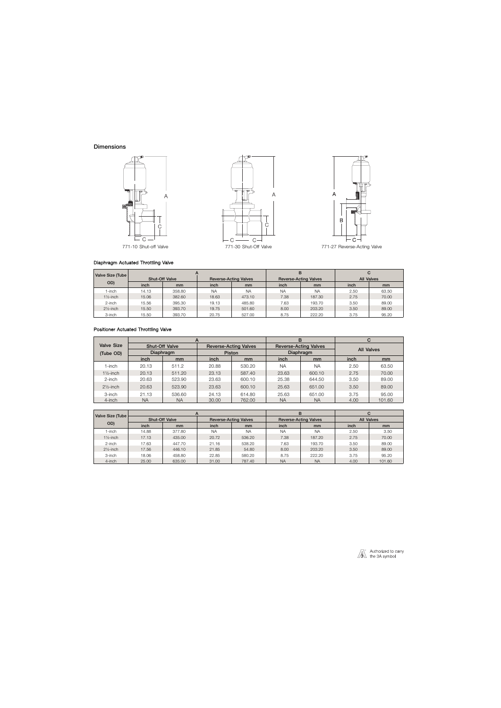## **Dimensions**



#### Diaphragm Actuated Throttling Valve

| Valve Size (Tube     |       |                       |           |                              |           | в                            |                   |       |  |
|----------------------|-------|-----------------------|-----------|------------------------------|-----------|------------------------------|-------------------|-------|--|
|                      |       | <b>Shut-Off Valve</b> |           | <b>Reverse-Acting Valves</b> |           | <b>Reverse-Acting Valves</b> | <b>All Valves</b> |       |  |
| OD)                  | inch  | mm                    | inch      | mm                           | inch      | mm                           | inch              | mm    |  |
| -inch                | 14.13 | 358.80                | <b>NA</b> | <b>NA</b>                    | <b>NA</b> | <b>NA</b>                    | 2.50              | 63.50 |  |
| $1\frac{1}{2}$ -inch | 15.06 | 382.60                | 18.63     | 473.10                       | 7.38      | 187.30                       | 2.75              | 70.00 |  |
| 2-inch               | 15.56 | 395.30                | 19.13     | 485.80                       | 7.63      | 193.70                       | 3.50              | 89.00 |  |
| $2\frac{1}{2}$ -inch | 15.50 | 393.70                | 19.75     | 501.60                       | 8.00      | 203.20                       | 3.50              | 89.00 |  |
| 3-inch               | 15.50 | 393.70                | 20.75     | 527.00                       | 8.75      | 222.20                       | 3.75              | 95.20 |  |

## Positioner Actuated Throttling Valve

|                      |                  |                       |       |                              |           | B                            | С                 |        |  |
|----------------------|------------------|-----------------------|-------|------------------------------|-----------|------------------------------|-------------------|--------|--|
| <b>Valve Size</b>    |                  | <b>Shut-Off Valve</b> |       | <b>Reverse-Acting Valves</b> |           | <b>Reverse-Acting Valves</b> | <b>All Valves</b> |        |  |
| (Tube OD)            | <b>Diaphragm</b> |                       |       | <b>Piston</b>                |           | Diaphragm                    |                   |        |  |
|                      | inch             | mm                    | inch  | mm                           | inch      | mm                           | inch              | mm     |  |
| 1-inch               | 20.13            | 511.2                 | 20.88 | 530.20                       | <b>NA</b> | <b>NA</b>                    | 2.50              | 63.50  |  |
| $1\frac{1}{2}$ -inch | 20.13            | 511.20                | 23.13 | 587.40                       | 23.63     | 600.10                       | 2.75              | 70.00  |  |
| 2-inch               | 20.63            | 523.90                | 23.63 | 600.10                       | 25.38     | 644.50                       | 3.50              | 89.00  |  |
| $2\frac{1}{2}$ -inch | 20.63            | 523.90                | 23.63 | 600.10                       | 25.63     | 651.00                       | 3.50              | 89.00  |  |
| 3-inch               | 21.13            | 536.60                | 24.13 | 614.80                       | 25.63     | 651.00                       | 3.75              | 95.00  |  |
| 4-inch               | ΝA               | <b>NA</b>             | 30.00 | 762.00                       | <b>NA</b> | <b>NA</b>                    | 4.00              | 101.60 |  |

| Valve Size (Tube     |       | $\mathsf{A}$          |                              |               |           | в                            | C                 |               |
|----------------------|-------|-----------------------|------------------------------|---------------|-----------|------------------------------|-------------------|---------------|
|                      |       | <b>Shut-Off Valve</b> | <b>Reverse-Acting Valves</b> |               |           | <b>Reverse-Acting Valves</b> | <b>All Valves</b> |               |
| OD)                  | inch  | mm                    | inch                         | <sub>mm</sub> | inch      | mm                           | inch              | <sub>mm</sub> |
| 1-inch               | 14.88 | 377.80                | <b>NA</b>                    | <b>NA</b>     | <b>NA</b> | <b>NA</b>                    | 2.50              | 3.50          |
| $1\frac{1}{2}$ -inch | 17.13 | 435.00                | 20.72                        | 536.20        | 7.38      | 187.20                       | 2.75              | 70.00         |
| $2$ -inch            | 17.63 | 447.70                | 21.16                        | 538.20        | 7.63      | 193.70                       | 3.50              | 89.00         |
| $2\frac{1}{2}$ -inch | 17.56 | 446.10                | 21.85                        | 54.80         | 8.00      | 203.20                       | 3.50              | 89.00         |
| 3-inch               | 18.06 | 458.80                | 22.85                        | 580.20        | 8.75      | 222.20                       | 3.75              | 95.20         |
| 4-inch               | 25.00 | 635.00                | 31.00                        | 787.40        | <b>NA</b> | <b>NA</b>                    | 4.00              | 101.60        |